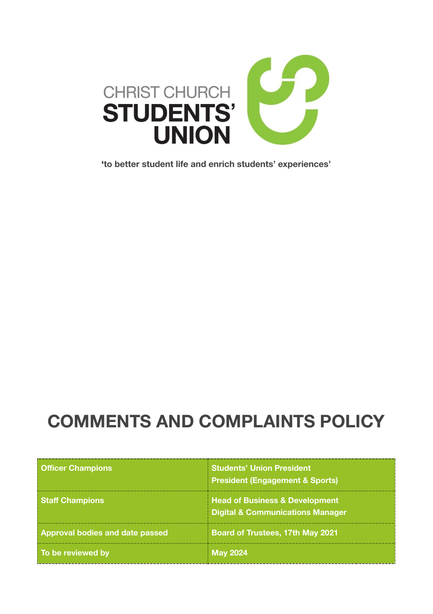

**' to better student life and enrich students' experiences'** 

# **COMMENTS AND COMPLAINTS POLICY**

| <b>Officer Champions</b>               | <b>Students' Union President</b><br><b>President (Engagement &amp; Sports)</b>           |
|----------------------------------------|------------------------------------------------------------------------------------------|
| <b>Staff Champions</b>                 | <b>Head of Business &amp; Development</b><br><b>Digital &amp; Communications Manager</b> |
| <b>Approval bodies and date passed</b> | <b>Board of Trustees, 17th May 2021</b>                                                  |
| To be reviewed by                      | <b>May 2024</b>                                                                          |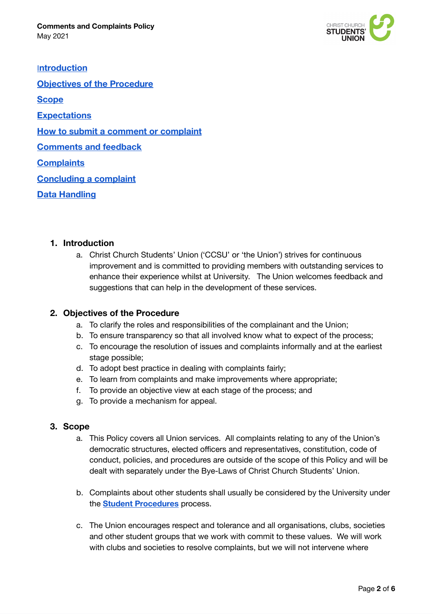

[I](#page-1-0)**[ntroduction](#page-1-0) [Objectives of the Procedure](#page-1-1)  [Scope](#page-1-2) [Expectations](#page-2-0)  [How to submit a comment or complaint](#page-2-1) [Comments and feedback](#page-3-0)  [Complaints](#page-3-1) [Concluding a complaint](#page-4-0)  [Data Handling](#page-4-1)** 

#### <span id="page-1-0"></span>**1. Introduction**

a. Christ Church Students' Union ('CCSU' or 'the Union') strives for continuous improvement and is committed to providing members with outstanding services to enhance their experience whilst at University. The Union welcomes feedback and suggestions that can help in the development of these services.

#### <span id="page-1-1"></span>**2. Objectives of the Procedure**

- a. To clarify the roles and responsibilities of the complainant and the Union;
- b. To ensure transparency so that all involved know what to expect of the process;
- c. To encourage the resolution of issues and complaints informally and at the earliest stage possible;
- d. To adopt best practice in dealing with complaints fairly;
- e. To learn from complaints and make improvements where appropriate;
- f. To provide an objective view at each stage of the process; and
- g. To provide a mechanism for appeal.

#### <span id="page-1-2"></span>**3. Scope**

- a. This Policy covers all Union services. All complaints relating to any of the Union's democratic structures, elected officers and representatives, constitution, code of conduct, policies, and procedures are outside of the scope of this Policy and will be dealt with separately under the Bye-Laws of Christ Church Students' Union.
- b. Complaints about other students shall usually be considered by the University under the **Student [Procedures](https://cccu.canterbury.ac.uk/planning-and-academic-administration/registry/student-procedures/student-procedures.aspx)** process.
- c. The Union encourages respect and tolerance and all organisations, clubs, societies and other student groups that we work with commit to these values. We will work with clubs and societies to resolve complaints, but we will not intervene where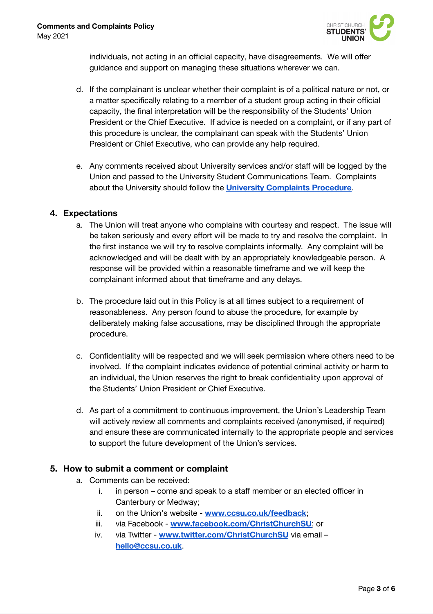

individuals, not acting in an official capacity, have disagreements. We will offer guidance and support on managing these situations wherever we can.

- d. If the complainant is unclear whether their complaint is of a political nature or not, or a matter specifically relating to a member of a student group acting in their official capacity, the final interpretation will be the responsibility of the Students' Union President or the Chief Executive. If advice is needed on a complaint, or if any part of this procedure is unclear, the complainant can speak with the Students' Union President or Chief Executive, who can provide any help required.
- e. Any comments received about University services and/or staff will be logged by the Union and passed to the University Student Communications Team. Complaints about the University should follow the **University [Complaints](http://www.canterbury.ac.uk/students/academic-services/complaints.aspx) Procedure**.

#### <span id="page-2-0"></span>**4. Expectations**

- a. The Union will treat anyone who complains with courtesy and respect. The issue will be taken seriously and every effort will be made to try and resolve the complaint. In the first instance we will try to resolve complaints informally. Any complaint will be acknowledged and will be dealt with by an appropriately knowledgeable person. A response will be provided within a reasonable timeframe and we will keep the complainant informed about that timeframe and any delays.
- b. The procedure laid out in this Policy is at all times subject to a requirement of reasonableness. Any person found to abuse the procedure, for example by deliberately making false accusations, may be disciplined through the appropriate procedure.
- c. Confidentiality will be respected and we will seek permission where others need to be involved. If the complaint indicates evidence of potential criminal activity or harm to an individual, the Union reserves the right to break confidentiality upon approval of the Students' Union President or Chief Executive.
- d. As part of a commitment to continuous improvement, the Union's Leadership Team will actively review all comments and complaints received (anonymised, if required) and ensure these are communicated internally to the appropriate people and services to support the future development of the Union's services.

#### <span id="page-2-1"></span>**5. How to submit a comment or complaint**

- a. Comments can be received:
	- i. in person come and speak to a staff member or an elected officer in Canterbury or Medway;
	- ii. on the Union's website **[www.ccsu.co.uk/feedback](http://www.ccsu.co.uk/feedback)**;
	- iii. via Facebook **[www.facebook.com/ChristChurchSU](http://www.facebook.com/ChristChurchSU)**; or
	- iv. via Twitter **[www.twitter.com/ChristChurchSU](http://www.twitter.com/ChristChurchSU)** via email **[hello@ccsu.co.uk](mailto:hello@ccsu.co.uk)**.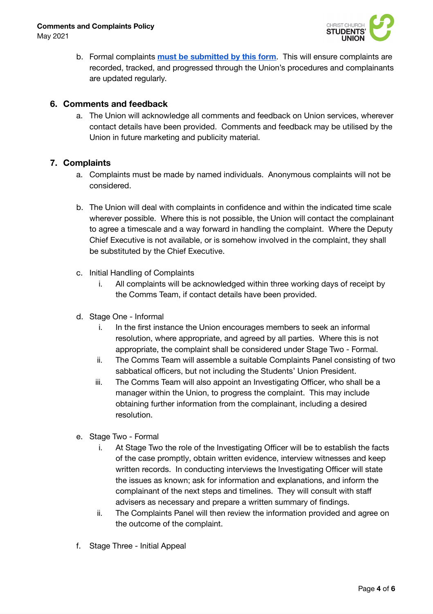May 2021



b. Formal complaints **must be [submitted](https://docs.google.com/forms/d/e/1FAIpQLSdT6LcmSZLuHHZFxJI2V97l68bde_VzyxnCKgQKRs5rTWrg9Q/viewform?c=0&w=1) by this form**. This will ensure complaints are recorded, tracked, and progressed through the Union's procedures and complainants are updated regularly.

### <span id="page-3-0"></span>**6. Comments and feedback**

a. The Union will acknowledge all comments and feedback on Union services, wherever contact details have been provided. Comments and feedback may be utilised by the Union in future marketing and publicity material.

## <span id="page-3-1"></span>**7. Complaints**

- a. Complaints must be made by named individuals. Anonymous complaints will not be considered.
- b. The Union will deal with complaints in confidence and within the indicated time scale wherever possible. Where this is not possible, the Union will contact the complainant to agree a timescale and a way forward in handling the complaint. Where the Deputy Chief Executive is not available, or is somehow involved in the complaint, they shall be substituted by the Chief Executive.
- c. Initial Handling of Complaints
	- i. All complaints will be acknowledged within three working days of receipt by the Comms Team, if contact details have been provided.
- d. Stage One Informal
	- i. In the first instance the Union encourages members to seek an informal resolution, where appropriate, and agreed by all parties. Where this is not appropriate, the complaint shall be considered under Stage Two - Formal.
	- ii. The Comms Team will assemble a suitable Complaints Panel consisting of two sabbatical officers, but not including the Students' Union President.
	- iii. The Comms Team will also appoint an Investigating Officer, who shall be a manager within the Union, to progress the complaint. This may include obtaining further information from the complainant, including a desired resolution.
- e. Stage Two Formal
	- i. At Stage Two the role of the Investigating Officer will be to establish the facts of the case promptly, obtain written evidence, interview witnesses and keep written records. In conducting interviews the Investigating Officer will state the issues as known; ask for information and explanations, and inform the complainant of the next steps and timelines. They will consult with staff advisers as necessary and prepare a written summary of findings.
	- ii. The Complaints Panel will then review the information provided and agree on the outcome of the complaint.
- f. Stage Three Initial Appeal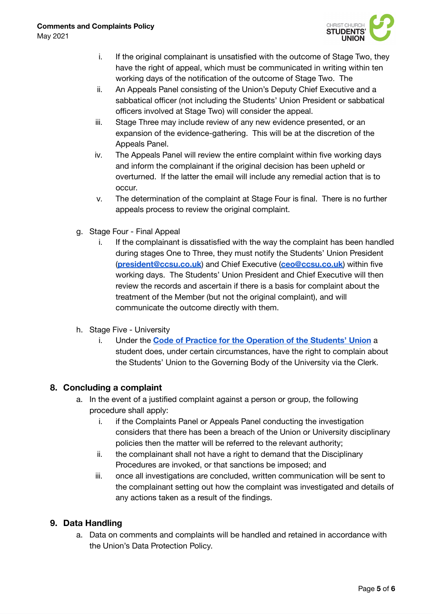

- i. If the original complainant is unsatisfied with the outcome of Stage Two, they have the right of appeal, which must be communicated in writing within ten working days of the notification of the outcome of Stage Two. The
- ii. An Appeals Panel consisting of the Union's Deputy Chief Executive and a sabbatical officer (not including the Students' Union President or sabbatical officers involved at Stage Two) will consider the appeal.
- iii. Stage Three may include review of any new evidence presented, or an expansion of the evidence-gathering. This will be at the discretion of the Appeals Panel.
- iv. The Appeals Panel will review the entire complaint within five working days and inform the complainant if the original decision has been upheld or overturned. If the latter the email will include any remedial action that is to occur.
- v. The determination of the complaint at Stage Four is final. There is no further appeals process to review the original complaint.
- g. Stage Four Final Appeal
	- i. If the complainant is dissatisfied with the way the complaint has been handled during stages One to Three, they must notify the Students' Union President (**[president@ccsu.co.uk](mailto:president@ccsu.co.uk)**) and Chief Executive (**[ceo@ccsu.co.uk](mailto:ceo@ccsu.co.uk)**) within five working days. The Students' Union President and Chief Executive will then review the records and ascertain if there is a basis for complaint about the treatment of the Member (but not the original complaint), and will communicate the outcome directly with them.
- h. Stage Five University
	- i. Under the **Code of Practice for the [Operation](https://ccsu.co.uk/pageassets/about/policy/Students-Union-Code-of-Practice-2018.pdf) of the Students' Union** a student does, under certain circumstances, have the right to complain about the Students' Union to the Governing Body of the University via the Clerk.

# <span id="page-4-0"></span>**8. Concluding a complaint**

- a. In the event of a justified complaint against a person or group, the following procedure shall apply:
	- i. if the Complaints Panel or Appeals Panel conducting the investigation considers that there has been a breach of the Union or University disciplinary policies then the matter will be referred to the relevant authority;
	- ii. the complainant shall not have a right to demand that the Disciplinary Procedures are invoked, or that sanctions be imposed; and
	- iii. once all investigations are concluded, written communication will be sent to the complainant setting out how the complaint was investigated and details of any actions taken as a result of the findings.

# <span id="page-4-1"></span>**9. Data Handling**

a. Data on comments and complaints will be handled and retained in accordance with the Union's Data Protection Policy.